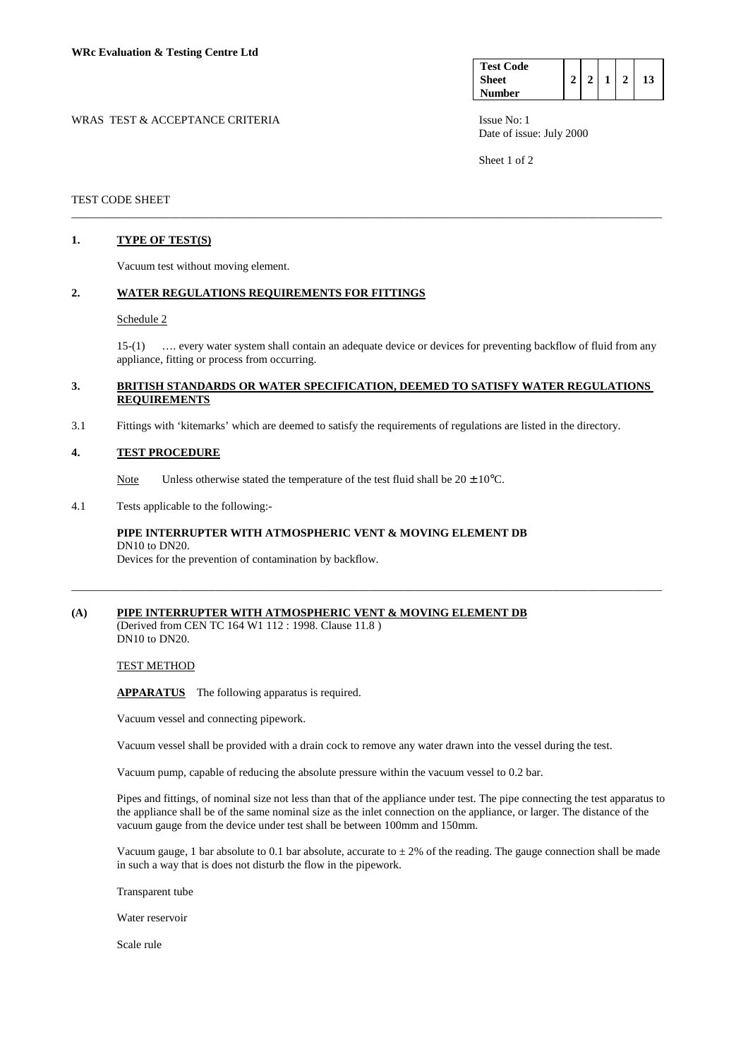| <b>Test Code</b> |  |  |  |
|------------------|--|--|--|
| <b>Sheet</b>     |  |  |  |
| <b>Number</b>    |  |  |  |

WRAS TEST & ACCEPTANCE CRITERIA **ISSUE NO:** 1 Date of issue: July 2000

Sheet 1 of 2

## TEST CODE SHEET

# **1. TYPE OF TEST(S)**

Vacuum test without moving element.

# **2. WATER REGULATIONS REQUIREMENTS FOR FITTINGS**

#### Schedule 2

 15-(1) …. every water system shall contain an adequate device or devices for preventing backflow of fluid from any appliance, fitting or process from occurring.

## **3. BRITISH STANDARDS OR WATER SPECIFICATION, DEEMED TO SATISFY WATER REGULATIONS REQUIREMENTS**

\_\_\_\_\_\_\_\_\_\_\_\_\_\_\_\_\_\_\_\_\_\_\_\_\_\_\_\_\_\_\_\_\_\_\_\_\_\_\_\_\_\_\_\_\_\_\_\_\_\_\_\_\_\_\_\_\_\_\_\_\_\_\_\_\_\_\_\_\_\_\_\_\_\_\_\_\_\_\_\_\_\_\_\_\_\_\_\_\_\_\_\_\_\_\_\_\_\_\_\_\_\_\_

3.1 Fittings with 'kitemarks' which are deemed to satisfy the requirements of regulations are listed in the directory.

#### **4. TEST PROCEDURE**

Note Unless otherwise stated the temperature of the test fluid shall be  $20 \pm 10^{\circ}$ C.

4.1 Tests applicable to the following:-

# **PIPE INTERRUPTER WITH ATMOSPHERIC VENT & MOVING ELEMENT DB**  DN10 to DN20.

Devices for the prevention of contamination by backflow.

# **(A) PIPE INTERRUPTER WITH ATMOSPHERIC VENT & MOVING ELEMENT DB**

(Derived from CEN TC 164 W1 112 : 1998. Clause 11.8 ) DN10 to DN20.

### TEST METHOD

**APPARATUS** The following apparatus is required.

Vacuum vessel and connecting pipework.

Vacuum vessel shall be provided with a drain cock to remove any water drawn into the vessel during the test.

\_\_\_\_\_\_\_\_\_\_\_\_\_\_\_\_\_\_\_\_\_\_\_\_\_\_\_\_\_\_\_\_\_\_\_\_\_\_\_\_\_\_\_\_\_\_\_\_\_\_\_\_\_\_\_\_\_\_\_\_\_\_\_\_\_\_\_\_\_\_\_\_\_\_\_\_\_\_\_\_\_\_\_\_\_\_\_\_\_\_\_\_\_\_\_\_\_\_\_\_\_\_\_

Vacuum pump, capable of reducing the absolute pressure within the vacuum vessel to 0.2 bar.

 Pipes and fittings, of nominal size not less than that of the appliance under test. The pipe connecting the test apparatus to the appliance shall be of the same nominal size as the inlet connection on the appliance, or larger. The distance of the vacuum gauge from the device under test shall be between 100mm and 150mm.

Vacuum gauge, 1 bar absolute to 0.1 bar absolute, accurate to  $\pm 2\%$  of the reading. The gauge connection shall be made in such a way that is does not disturb the flow in the pipework.

Transparent tube

Water reservoir

Scale rule